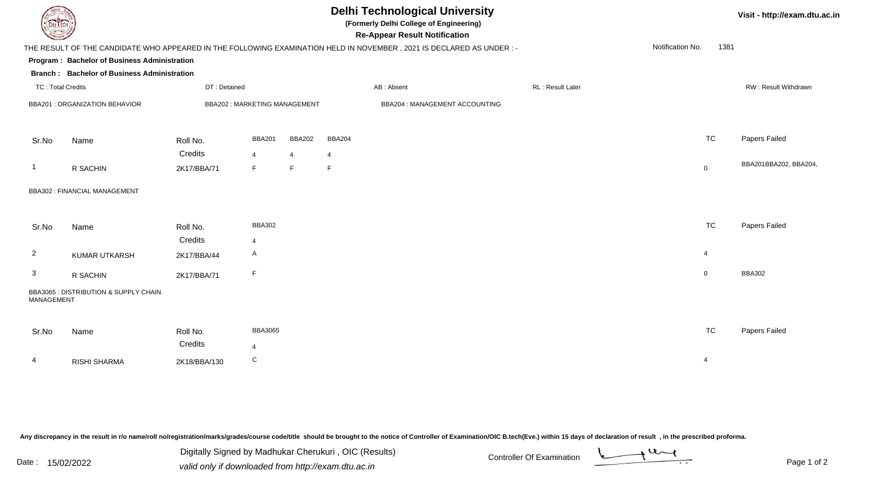| <b>Delhi Technological University</b><br>(Formerly Delhi College of Engineering)<br>DEL ECH<br><b>Re-Appear Result Notification</b>              |                                                    |              |                              |                |               |                   |                                | Visit - http://exam.dtu.ac.in |                      |                |                       |
|--------------------------------------------------------------------------------------------------------------------------------------------------|----------------------------------------------------|--------------|------------------------------|----------------|---------------|-------------------|--------------------------------|-------------------------------|----------------------|----------------|-----------------------|
| Notification No.<br>1381<br>THE RESULT OF THE CANDIDATE WHO APPEARED IN THE FOLLOWING EXAMINATION HELD IN NOVEMBER, 2021 IS DECLARED AS UNDER :- |                                                    |              |                              |                |               |                   |                                |                               |                      |                |                       |
|                                                                                                                                                  | Program: Bachelor of Business Administration       |              |                              |                |               |                   |                                |                               |                      |                |                       |
|                                                                                                                                                  | <b>Branch: Bachelor of Business Administration</b> |              |                              |                |               |                   |                                |                               |                      |                |                       |
| <b>TC: Total Credits</b>                                                                                                                         |                                                    | DT: Detained |                              | AB: Absent     |               | RL : Result Later |                                |                               | RW: Result Withdrawn |                |                       |
| BBA201 : ORGANIZATION BEHAVIOR                                                                                                                   |                                                    |              | BBA202: MARKETING MANAGEMENT |                |               |                   | BBA204 : MANAGEMENT ACCOUNTING |                               |                      |                |                       |
| Sr.No                                                                                                                                            | Name                                               | Roll No.     | <b>BBA201</b>                | <b>BBA202</b>  | <b>BBA204</b> |                   |                                |                               |                      | <b>TC</b>      | Papers Failed         |
|                                                                                                                                                  |                                                    | Credits      | $\overline{4}$               | $\overline{4}$ | 4             |                   |                                |                               |                      |                |                       |
| -1                                                                                                                                               | R SACHIN                                           | 2K17/BBA/71  | F.                           | F.             | F             |                   |                                |                               |                      | $\mathbf 0$    | BBA201BBA202, BBA204, |
|                                                                                                                                                  | BBA302 : FINANCIAL MANAGEMENT                      |              |                              |                |               |                   |                                |                               |                      |                |                       |
| Sr.No                                                                                                                                            | Name                                               | Roll No.     | <b>BBA302</b>                |                |               |                   |                                |                               |                      | <b>TC</b>      | Papers Failed         |
|                                                                                                                                                  |                                                    | Credits      | $\overline{4}$               |                |               |                   |                                |                               |                      |                |                       |
| $\overline{2}$                                                                                                                                   | KUMAR UTKARSH                                      | 2K17/BBA/44  | A                            |                |               |                   |                                |                               |                      | $\overline{4}$ |                       |
| 3                                                                                                                                                | R SACHIN                                           | 2K17/BBA/71  | F                            |                |               |                   |                                |                               |                      | $\mathbf 0$    | <b>BBA302</b>         |
| MANAGEMENT                                                                                                                                       | BBA3065 : DISTRIBUTION & SUPPLY CHAIN              |              |                              |                |               |                   |                                |                               |                      |                |                       |
| Sr.No                                                                                                                                            | Name                                               | Roll No.     | <b>BBA3065</b>               |                |               |                   |                                |                               |                      | <b>TC</b>      | Papers Failed         |
|                                                                                                                                                  |                                                    | Credits      | 4                            |                |               |                   |                                |                               |                      |                |                       |
| 4                                                                                                                                                | <b>RISHI SHARMA</b>                                | 2K18/BBA/130 | ${\bf C}$                    |                |               |                   |                                |                               |                      | -4             |                       |

Any discrepancy in the result in r/o name/roll no/registration/marks/grades/course code/title should be brought to the notice of Controller of Examination/OIC B.tech(Eve.) within 15 days of declaration of result ,in the p

| Date · |            | Digitally Signed by Madhukar Cherukuri, OIC (Results) | <b>Controller Of Examination</b> |  |  |  |
|--------|------------|-------------------------------------------------------|----------------------------------|--|--|--|
|        | 15/02/2022 | valid only if downloaded from http://exam.dtu.ac.in   |                                  |  |  |  |